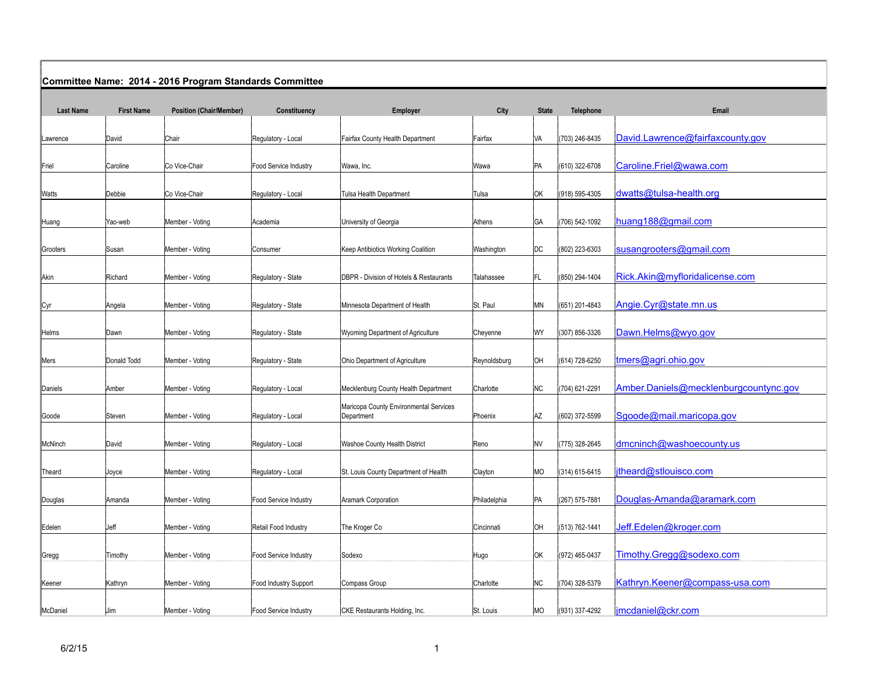